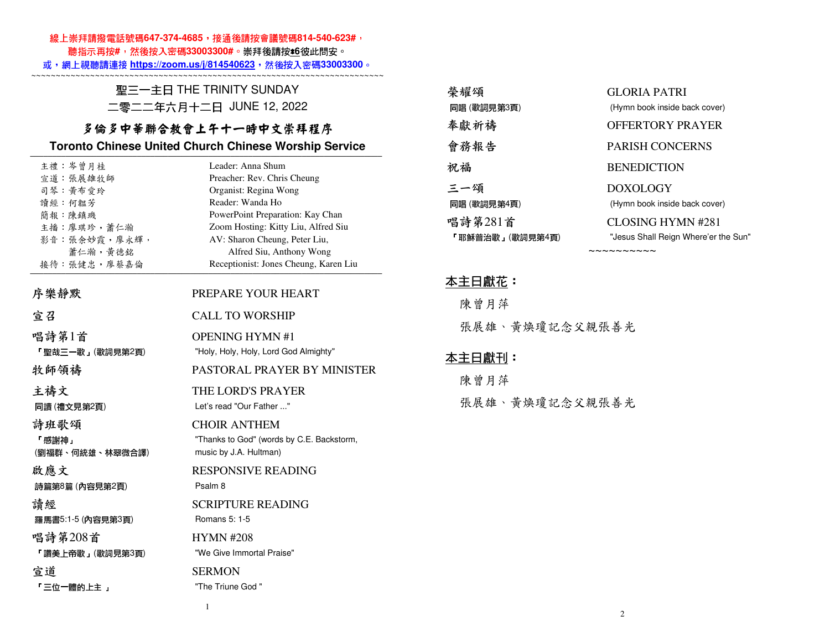#### 線上崇拜請撥電話號碼647-374-4685,接通後請按會議號碼814-540-623#,

聽指示再按**#**,然後按入密碼**33003300#**。崇拜後請按\***6**彼此問安。

或,網上視聽請連接 **https://zoom.us/j/814540623**,然後按入密碼**33003300**。

~~~~~~~~~~~~~~~~~~~~~~~~~~~~~~~~~~~~~~~~~~~~~~~~~~~~~~~~~~~~~~~~~~~~~~~~ 聖三一主日 THE TRINITY SUNDAY

### 二零二二年六月十二日 JUNE 12, 2022

## 多倫多中華聯合教會上午十一時中文崇拜程序

#### **Toronto Chinese United Church Chinese Worship Service**

| 主禮:岑曾月桂           | Leader: Anna Shum                         |
|-------------------|-------------------------------------------|
| 宣道:張展雄牧師          | Preacher: Rev. Chris Cheung               |
| 司琴 黃布愛玲           | Organist: Regina Wong                     |
| 讀經:何韞芳            | Reader: Wanda Ho                          |
| 簡報:陳鎮璣            | PowerPoint Preparation: Kay Chan          |
| 主播:廖琪珍,蕭仁瀚        | Zoom Hosting: Kitty Liu, Alfred Siu       |
| 影音: 張余妙霞, 廖永輝,    | AV: Sharon Cheung, Peter Liu,             |
| 蕭仁瀚,黃德銘           | Alfred Siu, Anthony Wong                  |
| 接待:張健忠,廖蔡嘉倫       | Receptionist: Jones Cheung, Karen Liu     |
| 序樂靜默              | PREPARE YOUR HEART                        |
| 宣召                | <b>CALL TO WORSHIP</b>                    |
| 唱詩第1首             | <b>OPENING HYMN #1</b>                    |
| 「聖哉三一歌」(歌詞見第2頁)   | "Holy, Holy, Holy, Lord God Almighty"     |
| 牧師領禱              | PASTORAL PRAYER BY MINISTER               |
| 主禱文               | THE LORD'S PRAYER                         |
| 同讀 (禮文見第2頁)       | Let's read "Our Father "                  |
| 詩班歌頌              | <b>CHOIR ANTHEM</b>                       |
| 「感謝神」             | "Thanks to God" (words by C.E. Backstorm, |
| (劉福群、何統雄、林翠微合譯)   | music by J.A. Hultman)                    |
| 啟應文               | <b>RESPONSIVE READING</b>                 |
| 詩篇第8篇 (內容見第2頁)    | Psalm 8                                   |
| 請經                | <b>SCRIPTURE READING</b>                  |
| 羅馬書5:1-5 (內容見第3頁) | Romans 5: 1-5                             |
| 唱詩第208首           | <b>HYMN#208</b>                           |
| 「讚美上帝歌」(歌詞見第3頁)   | "We Give Immortal Praise"                 |
| 宣道                | <b>SERMON</b>                             |
| 「三位一體的上主 」        | "The Triune God"                          |
|                   |                                           |

| 榮耀頌             | GLORIA PATRI                         |
|-----------------|--------------------------------------|
| 同唱 (歌詞見第3頁)     | (Hymn book inside back cover)        |
| 奉獻祈禱            | <b>OFFERTORY PRAYER</b>              |
| 會務報告            | <b>PARISH CONCERNS</b>               |
| 祝福              | <b>BENEDICTION</b>                   |
| 三一頌             | <b>DOXOLOGY</b>                      |
| 同唱 (歌詞見第4頁)     | (Hymn book inside back cover)        |
| 唱詩第281首         | CLOSING HYMN #281                    |
| 「耶穌普治歌」(歌詞見第4頁) | "Jesus Shall Reign Where'er the Sun" |

~~~~~~~~~~

### 本主日獻花:

 陳曾月萍張展雄、黃煥瓊記念父親張善光

## 本主日獻刊:

 陳曾月萍張展雄、黃煥瓊記念父親張善光

1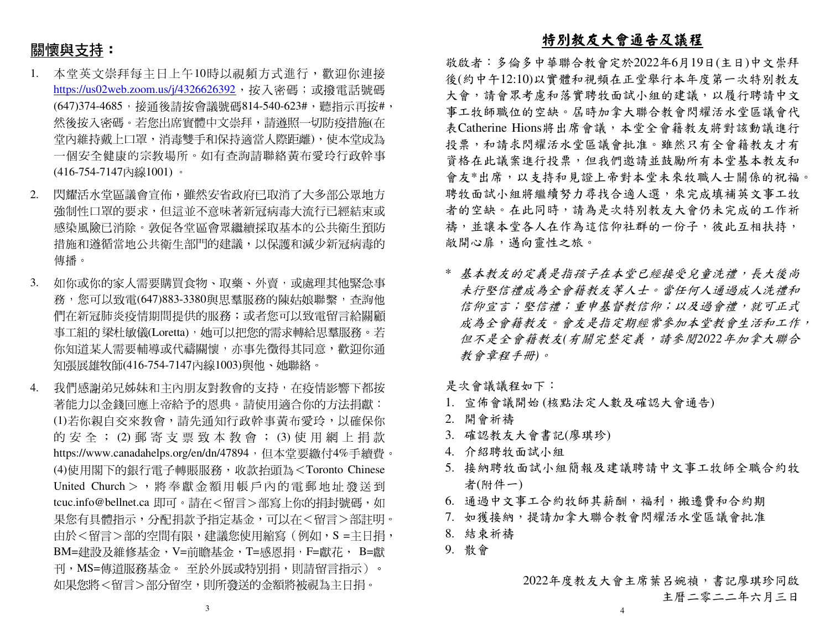# 關懷與支持:

- 本堂英文崇拜每主日上午10時以視頻方式進行,歡迎你連接1.<u>https://us02web.zoom.us/j/4326626392</u>,按入密碼;或撥電話號碼 (647)374-4685,接通後請按會議號碼814-540-623#,聽指示再按#, 然後按入密碼。若您出席實體中文崇拜,請遵照一切防疫措施(在 堂內維持戴上口罩,消毒雙手和保持適當人際距離),使本堂成為 一個安全健康的宗教場所。如有查詢請聯絡黃布愛玲行政幹事(416-754-7147內線1001) 。
- 2. 閃耀活水堂區議會宣佈,雖然安省政府已取消了大多部公眾地方強制性口罩的要求,但這並不意味著新冠病毒大流行已經結束或 感染風險已消除。敦促各堂區會眾繼續採取基本的公共衛生預防措施和遵循當地公共衛生部門的建議,以保護和減少新冠病毒的 傳播。
- 3. 如你或你的家人需要購買食物、取藥、外賣,或處理其他緊急事 務,您可以致電(647)883-3380與思羣服務的陳姑娘聯繫,查詢他 們在新冠肺炎疫情期間提供的服務;或者您可以致電留言給關顧 事工組的 梁杜敏儀(Loretta),她可以把您的需求轉給思羣服務。若<br>你知道其人需要越導式代達問題,太更先帶得其同章,數如你通 你知道某人需要輔導或代禱關懷,亦事先徵得其同意,歡迎你通 知張展雄牧師(416-754-7147內線1003)與他、她聯絡。
- 4. 我們感謝弟兄姊妹和主內朋友對教會的支持,在疫情影響下都按 著能力以金錢回應上帝給予的恩典。請使用適合你的方法捐獻: (1)若你親自交來教會,請先通知行政幹事黃布愛玲,以確保你 的 安 全 ; (2) 郵 寄 支 票 致 本 教 會 ; (3) 使 用 網 上 捐 款<br>http://www.co.edu.dec.edu/a/47904,但大学要继与4%丢绩费 https://www.canadahelps.org/en/dn/47894,但本堂要繳付4%手續費。 (4)使用閣下的銀行電子轉賬服務,收款抬頭為<Toronto Chinese United Church > , 將奉獻金額用帳戶內的電郵地址發送到 tcuc.info@bellnet.ca 即可。請在<留言>部寫上你的捐封號碼,如 果您有具體指示,分配捐款予指定基金,可以在<留言>部註明。由於<留言>部的空間有限,建議您使用縮寫(例如,S =主日捐, BM=建設及維修基金,V=前瞻基金,T=感恩捐,F=獻花, B=獻刊,MS=傳道服務基金。 至於外展或特別捐,則請留言指示)。<br>加思你喀ィ留言、翌八兒空。則至癸遂始へ經喀無泪为之只坦。 如果您將<留言>部分留空,則所發送的金額將被視為主日捐。

## 特別教友大會通告及議程

 敬啟者:多倫多中華聯合教會定於2022年6月19日(主日)中文崇拜 後(約中午12:10)以實體和視頻在正堂舉行本年度第一次特別教友大會,請會眾考慮和落實聘牧面試小組的建議,以履行聘請中文 事工牧師職位的空缺。屆時加拿大聯合教會閃耀活水堂區議會代 表Catherine Hions將出席會議,本堂全會籍教友將對該動議進行投票,和請求閃耀活水堂區議會批准。雖然只有全會籍教友才有 資格在此議案進行投票,但我們邀請並鼓勵所有本堂基本教友和 會友\*出席,以支持和見證上帝對本堂未來牧職人士關係的祝福。聘牧面試小組將繼續努力尋找合適人選,來完成填補英文事工牧 者的空缺。在此同時,請為是次特別教友大會仍未完成的工作祈禱,並讓本堂各人在作為這信仰社群的一份子,彼此互相扶持, 敞開心扉,邁向靈性之旅。

\* 基本教友的定義是指孩子在本堂已經接受兒童洗禮,長大後尚 未行堅信禮成為全會籍教友等人士。當任何人通過成人洗禮和 信仰宣言;堅信禮;重申基督教信仰;以及過會禮,就可正式成為全會籍教友。會友是指定期經常參加本堂教會生活和工作, 但不是全會籍教友*(*有關完整定義,請參閱*2022*年加拿大聯合教會章程手冊*)*。

是次會議議程如下:

- 1. 宣佈會議開始 (核點法定人數及確認大會通告)
- 2. 開會祈禱
- 3. 確認教友大會書記(廖琪珍)
- 4. 介紹聘牧面試小組
- 5. 接納聘牧面試小組簡報及建議聘請中文事工牧師全職合約牧者(附件一)
- 6. 通過中文事工合約牧師其薪酬,福利,搬遷費和合約期
- 7. 如獲接納,提請加拿大聯合教會閃耀活水堂區議會批准
- 8. 結束祈禱
- 9. 散會

2022年度教友大會主席葉呂婉禎,書記廖琪珍同啟主曆二零二二年六月三日